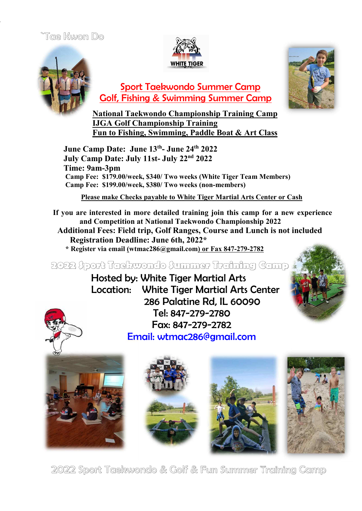## Toe Kwon Do





 Sport Taekwondo Summer Camp Golf, Fishing & Swimming Summer Camp



**National Taekwondo Championship Training Camp IJGA Golf Championship Training Fun to Fishing, Swimming, Paddle Boat & Art Class**

 **June Camp Date: June 13th - June 24th 2022 July Camp Date: July 11st- July 22nd 2022 Time: 9am-3pm Camp Fee: \$179.00/week, \$340/ Two weeks (White Tiger Team Members) Camp Fee: \$199.00/week, \$380/ Two weeks (non-members)**

**Please make Checks payable to White Tiger Martial Arts Center or Cash**

**If you are interested in more detailed training join this camp for a new experience and Competition at National Taekwondo Championship 2022 Additional Fees: Field trip, Golf Ranges, Course and Lunch is not included Registration Deadline: June 6th, 2022\* \* Register via email (wtmac286@gmail.com) or Fax 847-279-2782**

**2022 Sport Taekwondo Summer Training Camp**

 Hosted by: White Tiger Martial Arts Location: White Tiger Martial Arts Center 286 Palatine Rd, IL 60090 Tel: 847-279-2780 Fax: 847-279-2782 Email: wtmac286@gmail.com











2022 Sport Taekwondo & Golf & Fun Summer Training Camp